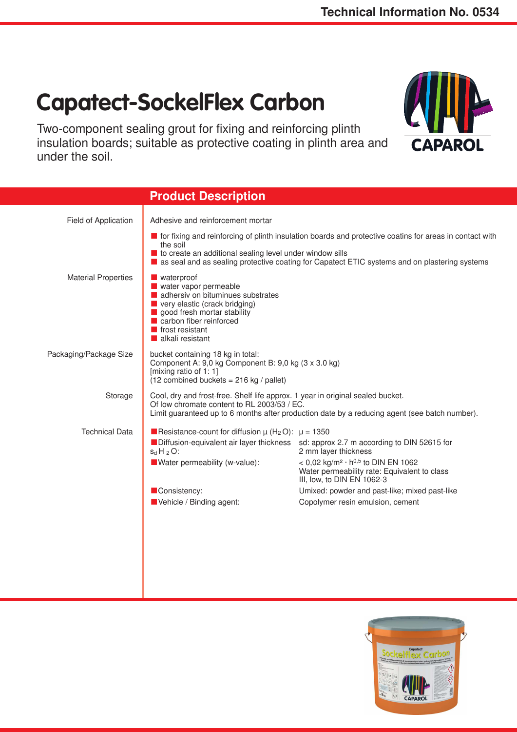APAR

## **Capatect-SockelFlex Carbon**

Two-component sealing grout for fixing and reinforcing plinth insulation boards; suitable as protective coating in plinth area and under the soil.



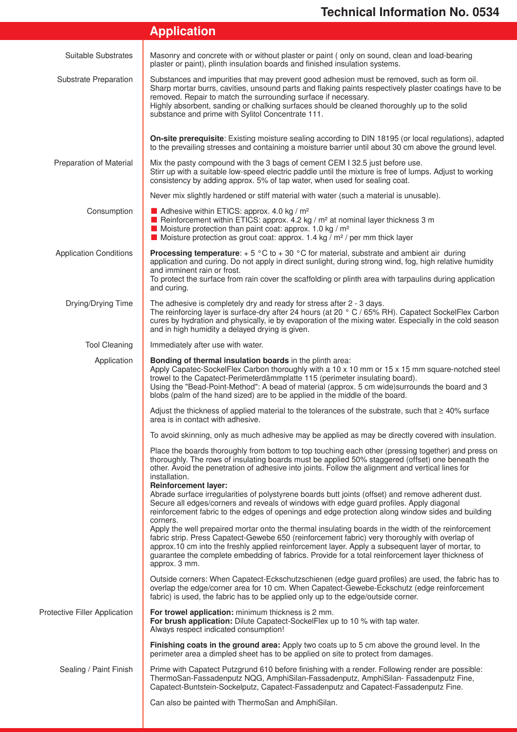|  |  | <b>Application</b> |  |  |
|--|--|--------------------|--|--|
|  |  |                    |  |  |
|  |  |                    |  |  |

| Suitable Substrates           | Masonry and concrete with or without plaster or paint (only on sound, clean and load-bearing<br>plaster or paint), plinth insulation boards and finished insulation systems.                                                                                                                                                                                                                                                      |  |  |  |  |
|-------------------------------|-----------------------------------------------------------------------------------------------------------------------------------------------------------------------------------------------------------------------------------------------------------------------------------------------------------------------------------------------------------------------------------------------------------------------------------|--|--|--|--|
| Substrate Preparation         | Substances and impurities that may prevent good adhesion must be removed, such as form oil.<br>Sharp mortar burrs, cavities, unsound parts and flaking paints respectively plaster coatings have to be<br>removed. Repair to match the surrounding surface if necessary.<br>Highly absorbent, sanding or chalking surfaces should be cleaned thoroughly up to the solid<br>substance and prime with Sylitol Concentrate 111.      |  |  |  |  |
|                               | On-site prerequisite: Existing moisture sealing according to DIN 18195 (or local regulations), adapted<br>to the prevailing stresses and containing a moisture barrier until about 30 cm above the ground level.                                                                                                                                                                                                                  |  |  |  |  |
| Preparation of Material       | Mix the pasty compound with the 3 bags of cement CEM I 32.5 just before use.<br>Stirr up with a suitable low-speed electric paddle until the mixture is free of lumps. Adjust to working<br>consistency by adding approx. 5% of tap water, when used for sealing coat.                                                                                                                                                            |  |  |  |  |
|                               | Never mix slightly hardened or stiff material with water (such a material is unusable).                                                                                                                                                                                                                                                                                                                                           |  |  |  |  |
| Consumption                   | Adhesive within ETICS: approx. 4.0 kg / $m2$<br>Reinforcement within ETICS: approx. 4.2 kg / $m2$ at nominal layer thickness 3 m<br>$\blacksquare$ Moisture protection than paint coat: approx. 1.0 kg / m <sup>2</sup><br><b>Moisture protection as grout coat: approx.</b> 1.4 kg / $m^2$ / per mm thick layer                                                                                                                  |  |  |  |  |
| <b>Application Conditions</b> | <b>Processing temperature</b> : $+ 5 \degree C$ to $+ 30 \degree C$ for material, substrate and ambient air during<br>application and curing. Do not apply in direct sunlight, during strong wind, fog, high relative humidity<br>and imminent rain or frost.<br>To protect the surface from rain cover the scaffolding or plinth area with tarpaulins during application<br>and curing.                                          |  |  |  |  |
| Drying/Drying Time            | The adhesive is completely dry and ready for stress after 2 - 3 days.<br>The reinforcing layer is surface-dry after 24 hours (at 20 ° C / 65% RH). Capatect SockelFlex Carbon<br>cures by hydration and physically, ie by evaporation of the mixing water. Especially in the cold season<br>and in high humidity a delayed drying is given.                                                                                       |  |  |  |  |
| <b>Tool Cleaning</b>          | Immediately after use with water.                                                                                                                                                                                                                                                                                                                                                                                                 |  |  |  |  |
| Application                   | Bonding of thermal insulation boards in the plinth area:<br>Apply Capatec-SockelFlex Carbon thoroughly with a 10 x 10 mm or 15 x 15 mm square-notched steel<br>trowel to the Capatect-Perimeterdämmplatte 115 (perimeter insulating board).<br>Using the "Bead-Point-Method": A bead of material (approx. 5 cm wide) surrounds the board and 3<br>blobs (palm of the hand sized) are to be applied in the middle of the board.    |  |  |  |  |
|                               | Adjust the thickness of applied material to the tolerances of the substrate, such that $\geq 40\%$ surface<br>area is in contact with adhesive.                                                                                                                                                                                                                                                                                   |  |  |  |  |
|                               | To avoid skinning, only as much adhesive may be applied as may be directly covered with insulation.                                                                                                                                                                                                                                                                                                                               |  |  |  |  |
|                               | Place the boards thoroughly from bottom to top touching each other (pressing together) and press on<br>thoroughly. The rows of insulating boards must be applied 50% staggered (offset) one beneath the<br>other. Avoid the penetration of adhesive into joints. Follow the alignment and vertical lines for<br>installation.<br><b>Reinforcement layer:</b>                                                                      |  |  |  |  |
|                               | Abrade surface irregularities of polystyrene boards butt joints (offset) and remove adherent dust.<br>Secure all edges/corners and reveals of windows with edge guard profiles. Apply diagonal<br>reinforcement fabric to the edges of openings and edge protection along window sides and building<br>corners.                                                                                                                   |  |  |  |  |
|                               | Apply the well prepaired mortar onto the thermal insulating boards in the width of the reinforcement<br>fabric strip. Press Capatect-Gewebe 650 (reinforcement fabric) very thoroughly with overlap of<br>approx.10 cm into the freshly applied reinforcement layer. Apply a subsequent layer of mortar, to<br>guarantee the complete embedding of fabrics. Provide for a total reinforcement layer thickness of<br>approx. 3 mm. |  |  |  |  |
|                               | Outside corners: When Capatect-Eckschutzschienen (edge guard profiles) are used, the fabric has to<br>overlap the edge/corner area for 10 cm. When Capatect-Gewebe-Eckschutz (edge reinforcement<br>fabric) is used, the fabric has to be applied only up to the edge/outside corner.                                                                                                                                             |  |  |  |  |
| Protective Filler Application | For trowel application: minimum thickness is 2 mm.<br>For brush application: Dilute Capatect-SockelFlex up to 10 % with tap water.<br>Always respect indicated consumption!                                                                                                                                                                                                                                                       |  |  |  |  |
|                               | Finishing coats in the ground area: Apply two coats up to 5 cm above the ground level. In the<br>perimeter area a dimpled sheet has to be applied on site to protect from damages.                                                                                                                                                                                                                                                |  |  |  |  |
| Sealing / Paint Finish        | Prime with Capatect Putzgrund 610 before finishing with a render. Following render are possible:<br>ThermoSan-Fassadenputz NQG, AmphiSilan-Fassadenputz, AmphiSilan- Fassadenputz Fine,<br>Capatect-Buntstein-Sockelputz, Capatect-Fassadenputz and Capatect-Fassadenputz Fine.                                                                                                                                                   |  |  |  |  |
|                               | Can also be painted with ThermoSan and AmphiSilan.                                                                                                                                                                                                                                                                                                                                                                                |  |  |  |  |